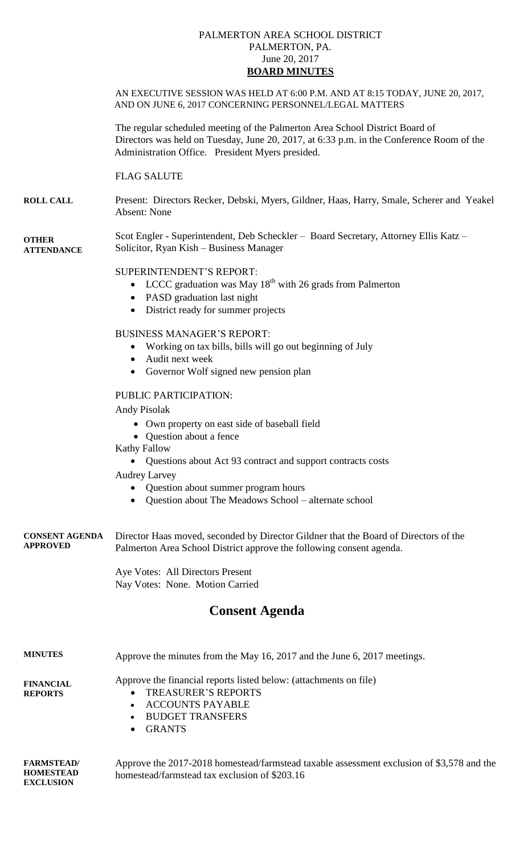## PALMERTON AREA SCHOOL DISTRICT PALMERTON, PA. June 20, 2017 **BOARD MINUTES**

AN EXECUTIVE SESSION WAS HELD AT 6:00 P.M. AND AT 8:15 TODAY, JUNE 20, 2017,

AND ON JUNE 6, 2017 CONCERNING PERSONNEL/LEGAL MATTERS

|                                          | The regular scheduled meeting of the Palmerton Area School District Board of<br>Directors was held on Tuesday, June 20, 2017, at 6:33 p.m. in the Conference Room of the<br>Administration Office. President Myers presided. |
|------------------------------------------|------------------------------------------------------------------------------------------------------------------------------------------------------------------------------------------------------------------------------|
|                                          | <b>FLAG SALUTE</b>                                                                                                                                                                                                           |
| <b>ROLL CALL</b>                         | Present: Directors Recker, Debski, Myers, Gildner, Haas, Harry, Smale, Scherer and Yeakel<br><b>Absent: None</b>                                                                                                             |
| <b>OTHER</b><br><b>ATTENDANCE</b>        | Scot Engler - Superintendent, Deb Scheckler - Board Secretary, Attorney Ellis Katz -<br>Solicitor, Ryan Kish - Business Manager                                                                                              |
|                                          | SUPERINTENDENT'S REPORT:<br>LCCC graduation was May $18th$ with 26 grads from Palmerton<br>$\bullet$<br>• PASD graduation last night<br>District ready for summer projects<br>$\bullet$                                      |
|                                          | <b>BUSINESS MANAGER'S REPORT:</b><br>Working on tax bills, bills will go out beginning of July<br>Audit next week<br>$\bullet$<br>Governor Wolf signed new pension plan<br>$\bullet$                                         |
|                                          | PUBLIC PARTICIPATION:<br>Andy Pisolak                                                                                                                                                                                        |
|                                          | • Own property on east side of baseball field<br>• Question about a fence<br><b>Kathy Fallow</b>                                                                                                                             |
|                                          | Questions about Act 93 contract and support contracts costs<br><b>Audrey Larvey</b>                                                                                                                                          |
|                                          | Question about summer program hours<br>Question about The Meadows School – alternate school                                                                                                                                  |
| <b>CONSENT AGENDA</b><br><b>APPROVED</b> | Director Haas moved, seconded by Director Gildner that the Board of Directors of the<br>Palmerton Area School District approve the following consent agenda.                                                                 |
|                                          | Aye Votes: All Directors Present<br>Nay Votes: None. Motion Carried                                                                                                                                                          |
|                                          | <b>Consent Agenda</b>                                                                                                                                                                                                        |
| <b>MINUTES</b>                           | Approve the minutes from the May 16, 2017 and the June 6, 2017 meetings.                                                                                                                                                     |
| <b>FINANCIAL</b><br><b>REPORTS</b>       | Approve the financial reports listed below: (attachments on file)<br><b>TREASURER'S REPORTS</b><br>$\bullet$<br><b>ACCOUNTS PAYABLE</b><br>$\bullet$<br><b>BUDGET TRANSFERS</b><br>$\bullet$<br><b>GRANTS</b><br>$\bullet$   |
|                                          |                                                                                                                                                                                                                              |

Approve the 2017-2018 homestead/farmstead taxable assessment exclusion of \$3,578 and the homestead/farmstead tax exclusion of \$203.16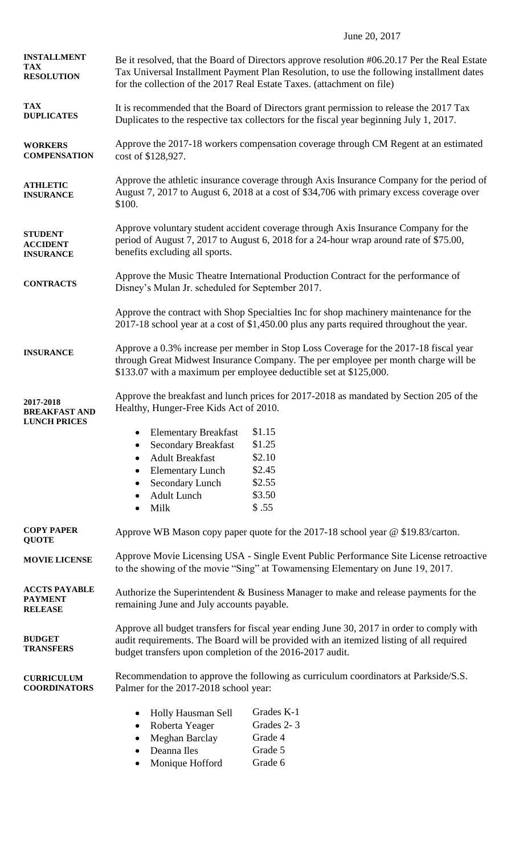## June 20, 2017

| <b>INSTALLMENT</b><br><b>TAX</b><br><b>RESOLUTION</b>    | Be it resolved, that the Board of Directors approve resolution #06.20.17 Per the Real Estate<br>Tax Universal Installment Payment Plan Resolution, to use the following installment dates<br>for the collection of the 2017 Real Estate Taxes. (attachment on file) |                                                                                                                                                                                   |  |
|----------------------------------------------------------|---------------------------------------------------------------------------------------------------------------------------------------------------------------------------------------------------------------------------------------------------------------------|-----------------------------------------------------------------------------------------------------------------------------------------------------------------------------------|--|
| <b>TAX</b><br><b>DUPLICATES</b>                          | It is recommended that the Board of Directors grant permission to release the 2017 Tax<br>Duplicates to the respective tax collectors for the fiscal year beginning July 1, 2017.                                                                                   |                                                                                                                                                                                   |  |
| <b>WORKERS</b><br><b>COMPENSATION</b>                    | Approve the 2017-18 workers compensation coverage through CM Regent at an estimated<br>cost of \$128,927.                                                                                                                                                           |                                                                                                                                                                                   |  |
| <b>ATHLETIC</b><br><b>INSURANCE</b>                      | Approve the athletic insurance coverage through Axis Insurance Company for the period of<br>August 7, 2017 to August 6, 2018 at a cost of \$34,706 with primary excess coverage over<br>\$100.                                                                      |                                                                                                                                                                                   |  |
| <b>STUDENT</b><br><b>ACCIDENT</b><br><b>INSURANCE</b>    | Approve voluntary student accident coverage through Axis Insurance Company for the<br>period of August 7, 2017 to August 6, 2018 for a 24-hour wrap around rate of \$75.00,<br>benefits excluding all sports.                                                       |                                                                                                                                                                                   |  |
| <b>CONTRACTS</b>                                         | Approve the Music Theatre International Production Contract for the performance of<br>Disney's Mulan Jr. scheduled for September 2017.                                                                                                                              |                                                                                                                                                                                   |  |
|                                                          |                                                                                                                                                                                                                                                                     | Approve the contract with Shop Specialties Inc for shop machinery maintenance for the<br>2017-18 school year at a cost of \$1,450.00 plus any parts required throughout the year. |  |
| <b>INSURANCE</b>                                         | Approve a 0.3% increase per member in Stop Loss Coverage for the 2017-18 fiscal year<br>through Great Midwest Insurance Company. The per employee per month charge will be<br>\$133.07 with a maximum per employee deductible set at \$125,000.                     |                                                                                                                                                                                   |  |
| 2017-2018<br><b>BREAKFAST AND</b><br><b>LUNCH PRICES</b> | Healthy, Hunger-Free Kids Act of 2010.                                                                                                                                                                                                                              | Approve the breakfast and lunch prices for 2017-2018 as mandated by Section 205 of the                                                                                            |  |
|                                                          | <b>Elementary Breakfast</b><br>٠                                                                                                                                                                                                                                    | \$1.15                                                                                                                                                                            |  |
|                                                          | <b>Secondary Breakfast</b><br>٠                                                                                                                                                                                                                                     | \$1.25                                                                                                                                                                            |  |
|                                                          | <b>Adult Breakfast</b><br>٠                                                                                                                                                                                                                                         | \$2.10                                                                                                                                                                            |  |
|                                                          | <b>Elementary Lunch</b><br>٠                                                                                                                                                                                                                                        | \$2.45                                                                                                                                                                            |  |
|                                                          | Secondary Lunch<br>$\bullet$                                                                                                                                                                                                                                        | \$2.55                                                                                                                                                                            |  |
|                                                          | <b>Adult Lunch</b><br>$\bullet$<br>Milk<br>$\bullet$                                                                                                                                                                                                                | \$3.50<br>\$.55                                                                                                                                                                   |  |
|                                                          |                                                                                                                                                                                                                                                                     |                                                                                                                                                                                   |  |
| <b>COPY PAPER</b><br><b>QUOTE</b>                        | Approve WB Mason copy paper quote for the 2017-18 school year @ \$19.83/carton.                                                                                                                                                                                     |                                                                                                                                                                                   |  |
| <b>MOVIE LICENSE</b>                                     | Approve Movie Licensing USA - Single Event Public Performance Site License retroactive<br>to the showing of the movie "Sing" at Towamensing Elementary on June 19, 2017.                                                                                            |                                                                                                                                                                                   |  |
| <b>ACCTS PAYABLE</b><br><b>PAYMENT</b><br><b>RELEASE</b> | Authorize the Superintendent & Business Manager to make and release payments for the<br>remaining June and July accounts payable.                                                                                                                                   |                                                                                                                                                                                   |  |
| <b>BUDGET</b><br><b>TRANSFERS</b>                        | Approve all budget transfers for fiscal year ending June 30, 2017 in order to comply with<br>audit requirements. The Board will be provided with an itemized listing of all required<br>budget transfers upon completion of the 2016-2017 audit.                    |                                                                                                                                                                                   |  |
| <b>CURRICULUM</b><br><b>COORDINATORS</b>                 | Recommendation to approve the following as curriculum coordinators at Parkside/S.S.<br>Palmer for the 2017-2018 school year:                                                                                                                                        |                                                                                                                                                                                   |  |
|                                                          | Holly Hausman Sell<br>$\bullet$<br>Roberta Yeager<br>٠<br>Meghan Barclay<br>٠<br>Deanna Iles<br>$\bullet$<br>Monique Hofford<br>٠                                                                                                                                   | Grades K-1<br>Grades 2-3<br>Grade 4<br>Grade 5<br>Grade 6                                                                                                                         |  |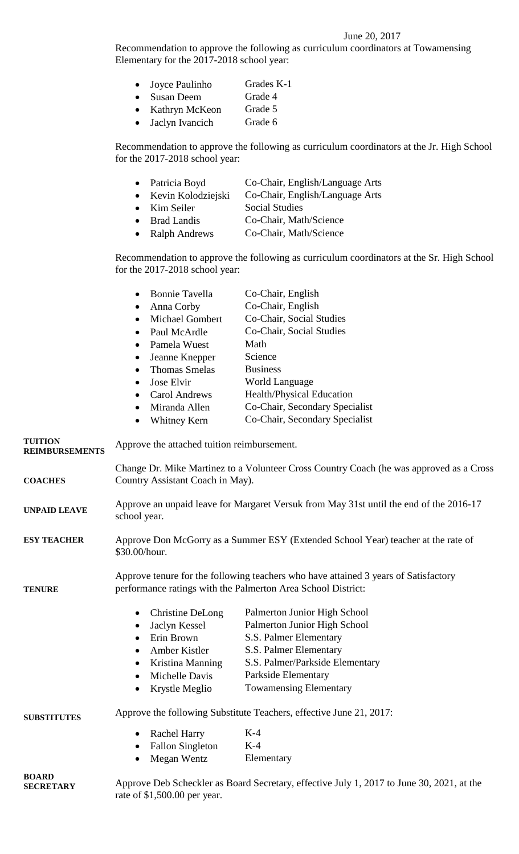## June 20, 2017

Recommendation to approve the following as curriculum coordinators at Towamensing Elementary for the 2017-2018 school year:

| $\bullet$ | Joyce Paulinho    | Grades K-1 |
|-----------|-------------------|------------|
| $\bullet$ | <b>Susan Deem</b> | Grade 4    |
| $\bullet$ | Kathryn McKeon    | Grade 5    |
| $\bullet$ | Jaclyn Ivancich   | Grade 6    |

Recommendation to approve the following as curriculum coordinators at the Jr. High School for the 2017-2018 school year:

- Patricia Boyd Co-Chair, English/Language Arts
- Kevin Kolodziejski Co-Chair, English/Language Arts
- Kim Seiler Social Studies
- Brad Landis Co-Chair, Math/Science
- Ralph Andrews Co-Chair, Math/Science

Recommendation to approve the following as curriculum coordinators at the Sr. High School for the 2017-2018 school year:

|                                  | <b>Bonnie Tavella</b><br>$\bullet$<br>Anna Corby<br>$\bullet$<br>Michael Gombert<br>Paul McArdle<br>Pamela Wuest<br>$\bullet$                       | Co-Chair, English<br>Co-Chair, English<br>Co-Chair, Social Studies<br>Co-Chair, Social Studies<br>Math |  |
|----------------------------------|-----------------------------------------------------------------------------------------------------------------------------------------------------|--------------------------------------------------------------------------------------------------------|--|
|                                  | Jeanne Knepper<br>$\bullet$<br><b>Thomas Smelas</b>                                                                                                 | Science<br><b>Business</b>                                                                             |  |
|                                  | Jose Elvir                                                                                                                                          | <b>World Language</b>                                                                                  |  |
|                                  | <b>Carol Andrews</b>                                                                                                                                | Health/Physical Education                                                                              |  |
|                                  | Miranda Allen                                                                                                                                       | Co-Chair, Secondary Specialist                                                                         |  |
|                                  | Whitney Kern<br>$\bullet$                                                                                                                           | Co-Chair, Secondary Specialist                                                                         |  |
| <b>TUITION</b><br>REIMBURSEMENTS | Approve the attached tuition reimbursement.                                                                                                         |                                                                                                        |  |
| <b>COACHES</b>                   | Change Dr. Mike Martinez to a Volunteer Cross Country Coach (he was approved as a Cross<br>Country Assistant Coach in May).                         |                                                                                                        |  |
| <b>UNPAID LEAVE</b>              | Approve an unpaid leave for Margaret Versuk from May 31st until the end of the 2016-17<br>school year.                                              |                                                                                                        |  |
| <b>ESY TEACHER</b>               | Approve Don McGorry as a Summer ESY (Extended School Year) teacher at the rate of<br>\$30.00/hour.                                                  |                                                                                                        |  |
| <b>TENURE</b>                    | Approve tenure for the following teachers who have attained 3 years of Satisfactory<br>performance ratings with the Palmerton Area School District: |                                                                                                        |  |
|                                  | Christine DeLong<br>$\bullet$                                                                                                                       | Palmerton Junior High School                                                                           |  |
|                                  | Jaclyn Kessel                                                                                                                                       | Palmerton Junior High School                                                                           |  |
|                                  | Erin Brown<br>$\bullet$                                                                                                                             | S.S. Palmer Elementary                                                                                 |  |
|                                  | Amber Kistler                                                                                                                                       | S.S. Palmer Elementary                                                                                 |  |
|                                  | • Kristina Manning                                                                                                                                  | S.S. Palmer/Parkside Elementary                                                                        |  |
|                                  | Michelle Davis                                                                                                                                      | Parkside Elementary                                                                                    |  |
|                                  | Krystle Meglio                                                                                                                                      | <b>Towamensing Elementary</b>                                                                          |  |
| <b>SUBSTITUTES</b>               | Approve the following Substitute Teachers, effective June 21, 2017:                                                                                 |                                                                                                        |  |
|                                  | <b>Rachel Harry</b>                                                                                                                                 | $K-4$                                                                                                  |  |
|                                  | <b>Fallon Singleton</b>                                                                                                                             | $K-4$                                                                                                  |  |
|                                  | Megan Wentz                                                                                                                                         | Elementary                                                                                             |  |
| <b>BOARD</b><br><b>SECRETARY</b> | rate of \$1,500.00 per year.                                                                                                                        | Approve Deb Scheckler as Board Secretary, effective July 1, 2017 to June 30, 2021, at the              |  |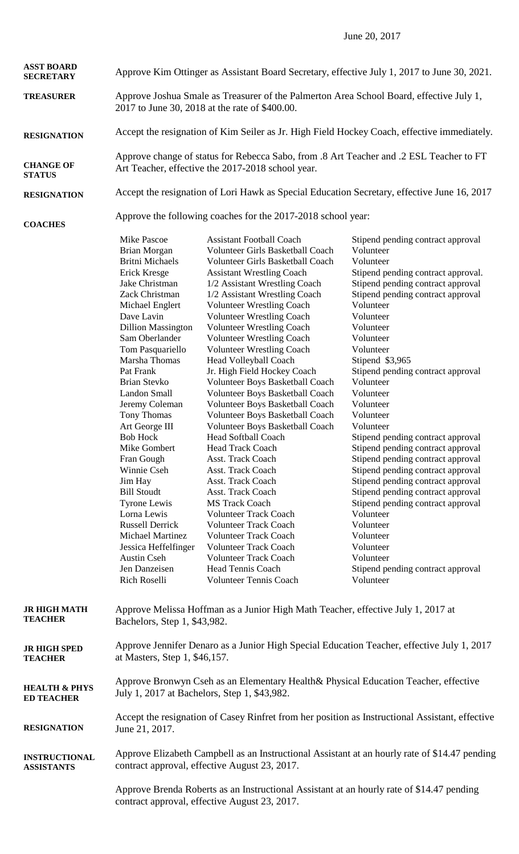June 20, 2017

| <b>ASST BOARD</b><br><b>SECRETARY</b>         | Approve Kim Ottinger as Assistant Board Secretary, effective July 1, 2017 to June 30, 2021.                                                                                                                                                                                                                                                                                                                                                                                                                                                                                                 |                                                                                                                                                                                                                                                                                                                                                                                                                                                                                                                                                                                                                                                                                                                                                                                                                                                                                                                                                                                                                                      |                                                                                                                                                                                                                                                                                                                                                                                                                                                                                                                                                                                                                                                                                                                                                             |
|-----------------------------------------------|---------------------------------------------------------------------------------------------------------------------------------------------------------------------------------------------------------------------------------------------------------------------------------------------------------------------------------------------------------------------------------------------------------------------------------------------------------------------------------------------------------------------------------------------------------------------------------------------|--------------------------------------------------------------------------------------------------------------------------------------------------------------------------------------------------------------------------------------------------------------------------------------------------------------------------------------------------------------------------------------------------------------------------------------------------------------------------------------------------------------------------------------------------------------------------------------------------------------------------------------------------------------------------------------------------------------------------------------------------------------------------------------------------------------------------------------------------------------------------------------------------------------------------------------------------------------------------------------------------------------------------------------|-------------------------------------------------------------------------------------------------------------------------------------------------------------------------------------------------------------------------------------------------------------------------------------------------------------------------------------------------------------------------------------------------------------------------------------------------------------------------------------------------------------------------------------------------------------------------------------------------------------------------------------------------------------------------------------------------------------------------------------------------------------|
| <b>TREASURER</b>                              | Approve Joshua Smale as Treasurer of the Palmerton Area School Board, effective July 1,<br>2017 to June 30, 2018 at the rate of \$400.00.                                                                                                                                                                                                                                                                                                                                                                                                                                                   |                                                                                                                                                                                                                                                                                                                                                                                                                                                                                                                                                                                                                                                                                                                                                                                                                                                                                                                                                                                                                                      |                                                                                                                                                                                                                                                                                                                                                                                                                                                                                                                                                                                                                                                                                                                                                             |
| <b>RESIGNATION</b>                            | Accept the resignation of Kim Seiler as Jr. High Field Hockey Coach, effective immediately.                                                                                                                                                                                                                                                                                                                                                                                                                                                                                                 |                                                                                                                                                                                                                                                                                                                                                                                                                                                                                                                                                                                                                                                                                                                                                                                                                                                                                                                                                                                                                                      |                                                                                                                                                                                                                                                                                                                                                                                                                                                                                                                                                                                                                                                                                                                                                             |
| <b>CHANGE OF</b><br><b>STATUS</b>             | Approve change of status for Rebecca Sabo, from .8 Art Teacher and .2 ESL Teacher to FT<br>Art Teacher, effective the 2017-2018 school year.                                                                                                                                                                                                                                                                                                                                                                                                                                                |                                                                                                                                                                                                                                                                                                                                                                                                                                                                                                                                                                                                                                                                                                                                                                                                                                                                                                                                                                                                                                      |                                                                                                                                                                                                                                                                                                                                                                                                                                                                                                                                                                                                                                                                                                                                                             |
| <b>RESIGNATION</b>                            |                                                                                                                                                                                                                                                                                                                                                                                                                                                                                                                                                                                             |                                                                                                                                                                                                                                                                                                                                                                                                                                                                                                                                                                                                                                                                                                                                                                                                                                                                                                                                                                                                                                      | Accept the resignation of Lori Hawk as Special Education Secretary, effective June 16, 2017                                                                                                                                                                                                                                                                                                                                                                                                                                                                                                                                                                                                                                                                 |
| <b>COACHES</b>                                | Approve the following coaches for the 2017-2018 school year:                                                                                                                                                                                                                                                                                                                                                                                                                                                                                                                                |                                                                                                                                                                                                                                                                                                                                                                                                                                                                                                                                                                                                                                                                                                                                                                                                                                                                                                                                                                                                                                      |                                                                                                                                                                                                                                                                                                                                                                                                                                                                                                                                                                                                                                                                                                                                                             |
|                                               | Mike Pascoe<br>Brian Morgan<br><b>Britni Michaels</b><br>Erick Kresge<br>Jake Christman<br>Zack Christman<br>Michael Englert<br>Dave Lavin<br><b>Dillion Massington</b><br>Sam Oberlander<br>Tom Pasquariello<br>Marsha Thomas<br>Pat Frank<br>Brian Stevko<br>Landon Small<br>Jeremy Coleman<br>Tony Thomas<br>Art George III<br><b>Bob Hock</b><br>Mike Gombert<br>Fran Gough<br>Winnie Cseh<br>Jim Hay<br><b>Bill Stoudt</b><br>Tyrone Lewis<br>Lorna Lewis<br><b>Russell Derrick</b><br>Michael Martinez<br>Jessica Heffelfinger<br><b>Austin Cseh</b><br>Jen Danzeisen<br>Rich Roselli | <b>Assistant Football Coach</b><br>Volunteer Girls Basketball Coach<br>Volunteer Girls Basketball Coach<br><b>Assistant Wrestling Coach</b><br>1/2 Assistant Wrestling Coach<br>1/2 Assistant Wrestling Coach<br><b>Volunteer Wrestling Coach</b><br><b>Volunteer Wrestling Coach</b><br><b>Volunteer Wrestling Coach</b><br>Volunteer Wrestling Coach<br><b>Volunteer Wrestling Coach</b><br>Head Volleyball Coach<br>Jr. High Field Hockey Coach<br>Volunteer Boys Basketball Coach<br>Volunteer Boys Basketball Coach<br>Volunteer Boys Basketball Coach<br>Volunteer Boys Basketball Coach<br>Volunteer Boys Basketball Coach<br><b>Head Softball Coach</b><br><b>Head Track Coach</b><br>Asst. Track Coach<br>Asst. Track Coach<br><b>Asst. Track Coach</b><br>Asst. Track Coach<br><b>MS Track Coach</b><br><b>Volunteer Track Coach</b><br><b>Volunteer Track Coach</b><br><b>Volunteer Track Coach</b><br><b>Volunteer Track Coach</b><br><b>Volunteer Track Coach</b><br><b>Head Tennis Coach</b><br>Volunteer Tennis Coach | Stipend pending contract approval<br>Volunteer<br>Volunteer<br>Stipend pending contract approval.<br>Stipend pending contract approval<br>Stipend pending contract approval<br>Volunteer<br>Volunteer<br>Volunteer<br>Volunteer<br>Volunteer<br>Stipend \$3,965<br>Stipend pending contract approval<br>Volunteer<br>Volunteer<br>Volunteer<br>Volunteer<br>Volunteer<br>Stipend pending contract approval<br>Stipend pending contract approval<br>Stipend pending contract approval<br>Stipend pending contract approval<br>Stipend pending contract approval<br>Stipend pending contract approval<br>Stipend pending contract approval<br>Volunteer<br>Volunteer<br>Volunteer<br>Volunteer<br>Volunteer<br>Stipend pending contract approval<br>Volunteer |
| <b>JR HIGH MATH</b><br><b>TEACHER</b>         | Approve Melissa Hoffman as a Junior High Math Teacher, effective July 1, 2017 at<br>Bachelors, Step 1, \$43,982.                                                                                                                                                                                                                                                                                                                                                                                                                                                                            |                                                                                                                                                                                                                                                                                                                                                                                                                                                                                                                                                                                                                                                                                                                                                                                                                                                                                                                                                                                                                                      |                                                                                                                                                                                                                                                                                                                                                                                                                                                                                                                                                                                                                                                                                                                                                             |
| <b>JR HIGH SPED</b><br><b>TEACHER</b>         | Approve Jennifer Denaro as a Junior High Special Education Teacher, effective July 1, 2017<br>at Masters, Step 1, \$46,157.                                                                                                                                                                                                                                                                                                                                                                                                                                                                 |                                                                                                                                                                                                                                                                                                                                                                                                                                                                                                                                                                                                                                                                                                                                                                                                                                                                                                                                                                                                                                      |                                                                                                                                                                                                                                                                                                                                                                                                                                                                                                                                                                                                                                                                                                                                                             |
| <b>HEALTH &amp; PHYS</b><br><b>ED TEACHER</b> | Approve Bronwyn Cseh as an Elementary Health & Physical Education Teacher, effective<br>July 1, 2017 at Bachelors, Step 1, \$43,982.                                                                                                                                                                                                                                                                                                                                                                                                                                                        |                                                                                                                                                                                                                                                                                                                                                                                                                                                                                                                                                                                                                                                                                                                                                                                                                                                                                                                                                                                                                                      |                                                                                                                                                                                                                                                                                                                                                                                                                                                                                                                                                                                                                                                                                                                                                             |
| <b>RESIGNATION</b>                            | Accept the resignation of Casey Rinfret from her position as Instructional Assistant, effective<br>June 21, 2017.                                                                                                                                                                                                                                                                                                                                                                                                                                                                           |                                                                                                                                                                                                                                                                                                                                                                                                                                                                                                                                                                                                                                                                                                                                                                                                                                                                                                                                                                                                                                      |                                                                                                                                                                                                                                                                                                                                                                                                                                                                                                                                                                                                                                                                                                                                                             |
| <b>INSTRUCTIONAL</b><br><b>ASSISTANTS</b>     |                                                                                                                                                                                                                                                                                                                                                                                                                                                                                                                                                                                             | contract approval, effective August 23, 2017.                                                                                                                                                                                                                                                                                                                                                                                                                                                                                                                                                                                                                                                                                                                                                                                                                                                                                                                                                                                        | Approve Elizabeth Campbell as an Instructional Assistant at an hourly rate of \$14.47 pending                                                                                                                                                                                                                                                                                                                                                                                                                                                                                                                                                                                                                                                               |
|                                               | Approve Brenda Roberts as an Instructional Assistant at an hourly rate of \$14.47 pending<br>contract approval, effective August 23, 2017.                                                                                                                                                                                                                                                                                                                                                                                                                                                  |                                                                                                                                                                                                                                                                                                                                                                                                                                                                                                                                                                                                                                                                                                                                                                                                                                                                                                                                                                                                                                      |                                                                                                                                                                                                                                                                                                                                                                                                                                                                                                                                                                                                                                                                                                                                                             |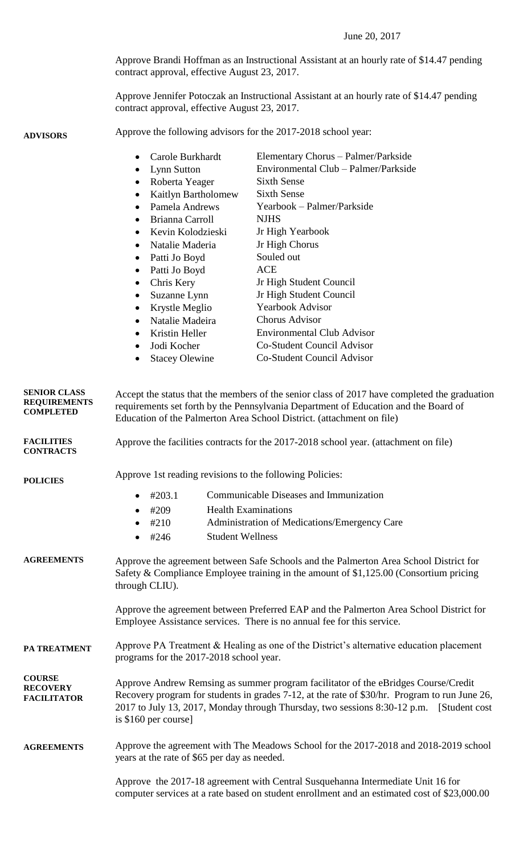|                                                                | Approve Brandi Hoffman as an Instructional Assistant at an hourly rate of \$14.47 pending<br>contract approval, effective August 23, 2017.                                                                                                                                                              |                                                                                                                                                                                                                                                                          |                                                                                                                                                                                                                                                                                                                                                                                                                                                   |
|----------------------------------------------------------------|---------------------------------------------------------------------------------------------------------------------------------------------------------------------------------------------------------------------------------------------------------------------------------------------------------|--------------------------------------------------------------------------------------------------------------------------------------------------------------------------------------------------------------------------------------------------------------------------|---------------------------------------------------------------------------------------------------------------------------------------------------------------------------------------------------------------------------------------------------------------------------------------------------------------------------------------------------------------------------------------------------------------------------------------------------|
|                                                                | Approve Jennifer Potoczak an Instructional Assistant at an hourly rate of \$14.47 pending<br>contract approval, effective August 23, 2017.                                                                                                                                                              |                                                                                                                                                                                                                                                                          |                                                                                                                                                                                                                                                                                                                                                                                                                                                   |
| <b>ADVISORS</b>                                                | Approve the following advisors for the 2017-2018 school year:                                                                                                                                                                                                                                           |                                                                                                                                                                                                                                                                          |                                                                                                                                                                                                                                                                                                                                                                                                                                                   |
|                                                                | $\bullet$<br><b>Lynn Sutton</b><br>$\bullet$<br>$\bullet$<br>$\bullet$<br>$\bullet$<br>$\bullet$<br>$\bullet$<br>Chris Kery<br>$\bullet$<br>$\bullet$<br>Jodi Kocher<br>$\bullet$                                                                                                                       | Carole Burkhardt<br>Roberta Yeager<br>Kaitlyn Bartholomew<br>Pamela Andrews<br>Brianna Carroll<br>Kevin Kolodzieski<br>Natalie Maderia<br>Patti Jo Boyd<br>Patti Jo Boyd<br>Suzanne Lynn<br>Krystle Meglio<br>Natalie Madeira<br>Kristin Heller<br><b>Stacey Olewine</b> | Elementary Chorus - Palmer/Parkside<br>Environmental Club - Palmer/Parkside<br><b>Sixth Sense</b><br><b>Sixth Sense</b><br>Yearbook – Palmer/Parkside<br><b>NJHS</b><br>Jr High Yearbook<br>Jr High Chorus<br>Souled out<br><b>ACE</b><br>Jr High Student Council<br>Jr High Student Council<br><b>Yearbook Advisor</b><br><b>Chorus Advisor</b><br><b>Environmental Club Advisor</b><br>Co-Student Council Advisor<br>Co-Student Council Advisor |
| <b>SENIOR CLASS</b><br><b>REQUIREMENTS</b><br><b>COMPLETED</b> | Accept the status that the members of the senior class of 2017 have completed the graduation<br>requirements set forth by the Pennsylvania Department of Education and the Board of<br>Education of the Palmerton Area School District. (attachment on file)                                            |                                                                                                                                                                                                                                                                          |                                                                                                                                                                                                                                                                                                                                                                                                                                                   |
| <b>FACILITIES</b><br><b>CONTRACTS</b>                          | Approve the facilities contracts for the 2017-2018 school year. (attachment on file)                                                                                                                                                                                                                    |                                                                                                                                                                                                                                                                          |                                                                                                                                                                                                                                                                                                                                                                                                                                                   |
| <b>POLICIES</b>                                                | Approve 1st reading revisions to the following Policies:                                                                                                                                                                                                                                                |                                                                                                                                                                                                                                                                          |                                                                                                                                                                                                                                                                                                                                                                                                                                                   |
|                                                                | #203.1                                                                                                                                                                                                                                                                                                  |                                                                                                                                                                                                                                                                          | Communicable Diseases and Immunization                                                                                                                                                                                                                                                                                                                                                                                                            |
|                                                                | #209                                                                                                                                                                                                                                                                                                    |                                                                                                                                                                                                                                                                          | <b>Health Examinations</b>                                                                                                                                                                                                                                                                                                                                                                                                                        |
|                                                                | #210                                                                                                                                                                                                                                                                                                    | <b>Student Wellness</b>                                                                                                                                                                                                                                                  | Administration of Medications/Emergency Care                                                                                                                                                                                                                                                                                                                                                                                                      |
|                                                                | #246                                                                                                                                                                                                                                                                                                    |                                                                                                                                                                                                                                                                          |                                                                                                                                                                                                                                                                                                                                                                                                                                                   |
| <b>AGREEMENTS</b>                                              | Approve the agreement between Safe Schools and the Palmerton Area School District for<br>Safety & Compliance Employee training in the amount of \$1,125.00 (Consortium pricing<br>through CLIU).                                                                                                        |                                                                                                                                                                                                                                                                          |                                                                                                                                                                                                                                                                                                                                                                                                                                                   |
|                                                                | Approve the agreement between Preferred EAP and the Palmerton Area School District for<br>Employee Assistance services. There is no annual fee for this service.                                                                                                                                        |                                                                                                                                                                                                                                                                          |                                                                                                                                                                                                                                                                                                                                                                                                                                                   |
| PA TREATMENT                                                   | Approve PA Treatment $\&$ Healing as one of the District's alternative education placement<br>programs for the 2017-2018 school year.                                                                                                                                                                   |                                                                                                                                                                                                                                                                          |                                                                                                                                                                                                                                                                                                                                                                                                                                                   |
| <b>COURSE</b><br><b>RECOVERY</b><br><b>FACILITATOR</b>         | Approve Andrew Remsing as summer program facilitator of the eBridges Course/Credit<br>Recovery program for students in grades 7-12, at the rate of \$30/hr. Program to run June 26,<br>2017 to July 13, 2017, Monday through Thursday, two sessions 8:30-12 p.m. [Student cost]<br>is \$160 per course] |                                                                                                                                                                                                                                                                          |                                                                                                                                                                                                                                                                                                                                                                                                                                                   |
| <b>AGREEMENTS</b>                                              | Approve the agreement with The Meadows School for the 2017-2018 and 2018-2019 school<br>years at the rate of \$65 per day as needed.                                                                                                                                                                    |                                                                                                                                                                                                                                                                          |                                                                                                                                                                                                                                                                                                                                                                                                                                                   |
|                                                                | Approve the 2017-18 agreement with Central Susquehanna Intermediate Unit 16 for<br>computer services at a rate based on student enrollment and an estimated cost of \$23,000.00                                                                                                                         |                                                                                                                                                                                                                                                                          |                                                                                                                                                                                                                                                                                                                                                                                                                                                   |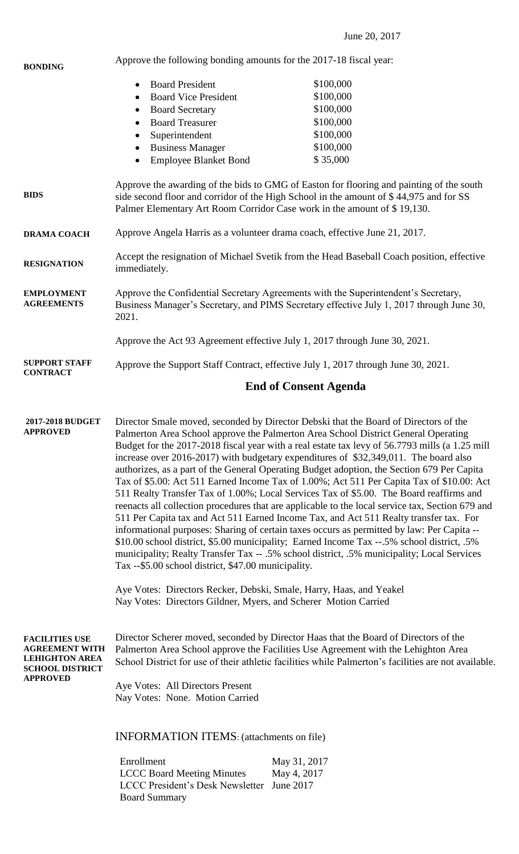| <b>BONDING</b>                                                                                                       | Approve the following bonding amounts for the 2017-18 fiscal year:                                                                                                                                                                                                                                                                                                                                                                                                                                                                                                                                                                                                                                                                                                                                                                                                                                                                                                                                                                                                                                                                                                                                                                                                                                                                                  |                                                                            |  |
|----------------------------------------------------------------------------------------------------------------------|-----------------------------------------------------------------------------------------------------------------------------------------------------------------------------------------------------------------------------------------------------------------------------------------------------------------------------------------------------------------------------------------------------------------------------------------------------------------------------------------------------------------------------------------------------------------------------------------------------------------------------------------------------------------------------------------------------------------------------------------------------------------------------------------------------------------------------------------------------------------------------------------------------------------------------------------------------------------------------------------------------------------------------------------------------------------------------------------------------------------------------------------------------------------------------------------------------------------------------------------------------------------------------------------------------------------------------------------------------|----------------------------------------------------------------------------|--|
|                                                                                                                      | <b>Board President</b><br>$\bullet$                                                                                                                                                                                                                                                                                                                                                                                                                                                                                                                                                                                                                                                                                                                                                                                                                                                                                                                                                                                                                                                                                                                                                                                                                                                                                                                 | \$100,000                                                                  |  |
|                                                                                                                      | <b>Board Vice President</b><br>$\bullet$                                                                                                                                                                                                                                                                                                                                                                                                                                                                                                                                                                                                                                                                                                                                                                                                                                                                                                                                                                                                                                                                                                                                                                                                                                                                                                            | \$100,000                                                                  |  |
|                                                                                                                      | <b>Board Secretary</b><br>$\bullet$                                                                                                                                                                                                                                                                                                                                                                                                                                                                                                                                                                                                                                                                                                                                                                                                                                                                                                                                                                                                                                                                                                                                                                                                                                                                                                                 | \$100,000                                                                  |  |
|                                                                                                                      | <b>Board Treasurer</b><br>$\bullet$                                                                                                                                                                                                                                                                                                                                                                                                                                                                                                                                                                                                                                                                                                                                                                                                                                                                                                                                                                                                                                                                                                                                                                                                                                                                                                                 | \$100,000                                                                  |  |
|                                                                                                                      | Superintendent<br>$\bullet$                                                                                                                                                                                                                                                                                                                                                                                                                                                                                                                                                                                                                                                                                                                                                                                                                                                                                                                                                                                                                                                                                                                                                                                                                                                                                                                         | \$100,000                                                                  |  |
|                                                                                                                      | <b>Business Manager</b>                                                                                                                                                                                                                                                                                                                                                                                                                                                                                                                                                                                                                                                                                                                                                                                                                                                                                                                                                                                                                                                                                                                                                                                                                                                                                                                             | \$100,000                                                                  |  |
|                                                                                                                      | <b>Employee Blanket Bond</b><br>$\bullet$                                                                                                                                                                                                                                                                                                                                                                                                                                                                                                                                                                                                                                                                                                                                                                                                                                                                                                                                                                                                                                                                                                                                                                                                                                                                                                           | \$35,000                                                                   |  |
| <b>BIDS</b>                                                                                                          | Approve the awarding of the bids to GMG of Easton for flooring and painting of the south<br>side second floor and corridor of the High School in the amount of \$44,975 and for SS<br>Palmer Elementary Art Room Corridor Case work in the amount of \$19,130.                                                                                                                                                                                                                                                                                                                                                                                                                                                                                                                                                                                                                                                                                                                                                                                                                                                                                                                                                                                                                                                                                      |                                                                            |  |
| <b>DRAMA COACH</b>                                                                                                   | Approve Angela Harris as a volunteer drama coach, effective June 21, 2017.                                                                                                                                                                                                                                                                                                                                                                                                                                                                                                                                                                                                                                                                                                                                                                                                                                                                                                                                                                                                                                                                                                                                                                                                                                                                          |                                                                            |  |
| <b>RESIGNATION</b>                                                                                                   | Accept the resignation of Michael Svetik from the Head Baseball Coach position, effective<br>immediately.                                                                                                                                                                                                                                                                                                                                                                                                                                                                                                                                                                                                                                                                                                                                                                                                                                                                                                                                                                                                                                                                                                                                                                                                                                           |                                                                            |  |
| <b>EMPLOYMENT</b><br><b>AGREEMENTS</b>                                                                               | Approve the Confidential Secretary Agreements with the Superintendent's Secretary,<br>Business Manager's Secretary, and PIMS Secretary effective July 1, 2017 through June 30,<br>2021.                                                                                                                                                                                                                                                                                                                                                                                                                                                                                                                                                                                                                                                                                                                                                                                                                                                                                                                                                                                                                                                                                                                                                             |                                                                            |  |
|                                                                                                                      |                                                                                                                                                                                                                                                                                                                                                                                                                                                                                                                                                                                                                                                                                                                                                                                                                                                                                                                                                                                                                                                                                                                                                                                                                                                                                                                                                     | Approve the Act 93 Agreement effective July 1, 2017 through June 30, 2021. |  |
| <b>SUPPORT STAFF</b><br><b>CONTRACT</b>                                                                              | Approve the Support Staff Contract, effective July 1, 2017 through June 30, 2021.                                                                                                                                                                                                                                                                                                                                                                                                                                                                                                                                                                                                                                                                                                                                                                                                                                                                                                                                                                                                                                                                                                                                                                                                                                                                   |                                                                            |  |
|                                                                                                                      | <b>End of Consent Agenda</b>                                                                                                                                                                                                                                                                                                                                                                                                                                                                                                                                                                                                                                                                                                                                                                                                                                                                                                                                                                                                                                                                                                                                                                                                                                                                                                                        |                                                                            |  |
| 2017-2018 BUDGET<br><b>APPROVED</b>                                                                                  | Director Smale moved, seconded by Director Debski that the Board of Directors of the<br>Palmerton Area School approve the Palmerton Area School District General Operating<br>Budget for the 2017-2018 fiscal year with a real estate tax levy of 56.7793 mills (a 1.25 mill<br>increase over 2016-2017) with budgetary expenditures of \$32,349,011. The board also<br>authorizes, as a part of the General Operating Budget adoption, the Section 679 Per Capita<br>Tax of \$5.00: Act 511 Earned Income Tax of 1.00%; Act 511 Per Capita Tax of \$10.00: Act<br>511 Realty Transfer Tax of 1.00%; Local Services Tax of \$5.00. The Board reaffirms and<br>reenacts all collection procedures that are applicable to the local service tax, Section 679 and<br>511 Per Capita tax and Act 511 Earned Income Tax, and Act 511 Realty transfer tax. For<br>informational purposes: Sharing of certain taxes occurs as permitted by law: Per Capita --<br>\$10.00 school district, \$5.00 municipality; Earned Income Tax --.5% school district, .5%<br>municipality; Realty Transfer Tax -- .5% school district, .5% municipality; Local Services<br>Tax --\$5.00 school district, \$47.00 municipality.<br>Aye Votes: Directors Recker, Debski, Smale, Harry, Haas, and Yeakel<br>Nay Votes: Directors Gildner, Myers, and Scherer Motion Carried |                                                                            |  |
| <b>FACILITIES USE</b><br><b>AGREEMENT WITH</b><br><b>LEHIGHTON AREA</b><br><b>SCHOOL DISTRICT</b><br><b>APPROVED</b> | Director Scherer moved, seconded by Director Haas that the Board of Directors of the<br>Palmerton Area School approve the Facilities Use Agreement with the Lehighton Area<br>School District for use of their athletic facilities while Palmerton's facilities are not available.<br>Aye Votes: All Directors Present<br>Nay Votes: None. Motion Carried<br><b>INFORMATION ITEMS:</b> (attachments on file)<br>Enrollment<br>May 31, 2017<br><b>LCCC Board Meeting Minutes</b><br>May 4, 2017<br>LCCC President's Desk Newsletter June 2017<br><b>Board Summary</b>                                                                                                                                                                                                                                                                                                                                                                                                                                                                                                                                                                                                                                                                                                                                                                                |                                                                            |  |